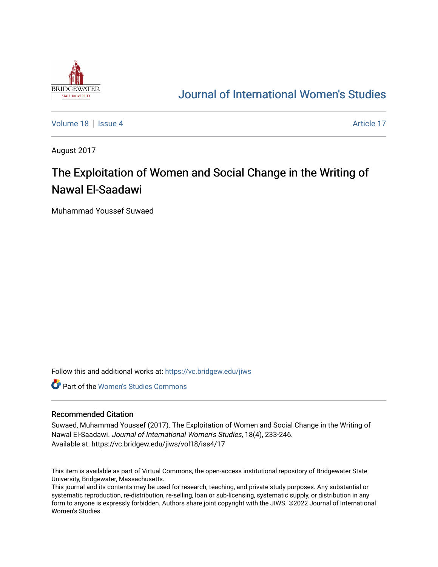

# [Journal of International Women's Studies](https://vc.bridgew.edu/jiws)

[Volume 18](https://vc.bridgew.edu/jiws/vol18) September 18 [Issue 4](https://vc.bridgew.edu/jiws/vol18/iss4) Article 17

August 2017

# The Exploitation of Women and Social Change in the Writing of Nawal El-Saadawi

Muhammad Youssef Suwaed

Follow this and additional works at: [https://vc.bridgew.edu/jiws](https://vc.bridgew.edu/jiws?utm_source=vc.bridgew.edu%2Fjiws%2Fvol18%2Fiss4%2F17&utm_medium=PDF&utm_campaign=PDFCoverPages)

**C** Part of the Women's Studies Commons

#### Recommended Citation

Suwaed, Muhammad Youssef (2017). The Exploitation of Women and Social Change in the Writing of Nawal El-Saadawi. Journal of International Women's Studies, 18(4), 233-246. Available at: https://vc.bridgew.edu/jiws/vol18/iss4/17

This item is available as part of Virtual Commons, the open-access institutional repository of Bridgewater State University, Bridgewater, Massachusetts.

This journal and its contents may be used for research, teaching, and private study purposes. Any substantial or systematic reproduction, re-distribution, re-selling, loan or sub-licensing, systematic supply, or distribution in any form to anyone is expressly forbidden. Authors share joint copyright with the JIWS. ©2022 Journal of International Women's Studies.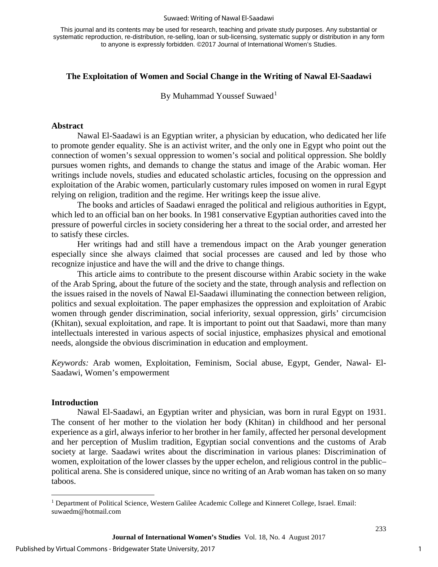#### Suwaed: Writing of Nawal El-Saadawi

This journal and its contents may be used for research, teaching and private study purposes. Any substantial or systematic reproduction, re-distribution, re-selling, loan or sub-licensing, systematic supply or distribution in any form to anyone is expressly forbidden. ©2017 Journal of International Women's Studies.

### **The Exploitation of Women and Social Change in the Writing of Nawal El-Saadawi**

By Muhammad Youssef Suwaed<sup>[1](#page-1-0)</sup>

#### **Abstract**

Nawal El-Saadawi is an Egyptian writer, a physician by education, who dedicated her life to promote gender equality. She is an activist writer, and the only one in Egypt who point out the connection of women's sexual oppression to women's social and political oppression. She boldly pursues women rights, and demands to change the status and image of the Arabic woman. Her writings include novels, studies and educated scholastic articles, focusing on the oppression and exploitation of the Arabic women, particularly customary rules imposed on women in rural Egypt relying on religion, tradition and the regime. Her writings keep the issue alive.

The books and articles of Saadawi enraged the political and religious authorities in Egypt, which led to an official ban on her books. In 1981 conservative Egyptian authorities caved into the pressure of powerful circles in society considering her a threat to the social order, and arrested her to satisfy these circles.

Her writings had and still have a tremendous impact on the Arab younger generation especially since she always claimed that social processes are caused and led by those who recognize injustice and have the will and the drive to change things.

This article aims to contribute to the present discourse within Arabic society in the wake of the Arab Spring, about the future of the society and the state, through analysis and reflection on the issues raised in the novels of Nawal El-Saadawi illuminating the connection between religion, politics and sexual exploitation. The paper emphasizes the oppression and exploitation of Arabic women through gender discrimination, social inferiority, sexual oppression, girls' circumcision (Khitan), sexual exploitation, and rape. It is important to point out that Saadawi, more than many intellectuals interested in various aspects of social injustice, emphasizes physical and emotional needs, alongside the obvious discrimination in education and employment.

*Keywords:* Arab women, Exploitation, Feminism, Social abuse, Egypt, Gender, Nawal- El-Saadawi, Women's empowerment

#### **Introduction**

l

Nawal El-Saadawi, an Egyptian writer and physician, was born in rural Egypt on 1931. The consent of her mother to the violation her body (Khitan) in childhood and her personal experience as a girl, always inferior to her brother in her family, affected her personal development and her perception of Muslim tradition, Egyptian social conventions and the customs of Arab society at large. Saadawi writes about the discrimination in various planes: Discrimination of women, exploitation of the lower classes by the upper echelon, and religious control in the public– political arena. She is considered unique, since no writing of an Arab woman has taken on so many taboos.

<span id="page-1-0"></span><sup>1</sup> Department of Political Science, Western Galilee Academic College and Kinneret College, Israel. Email: suwaedm@hotmail.com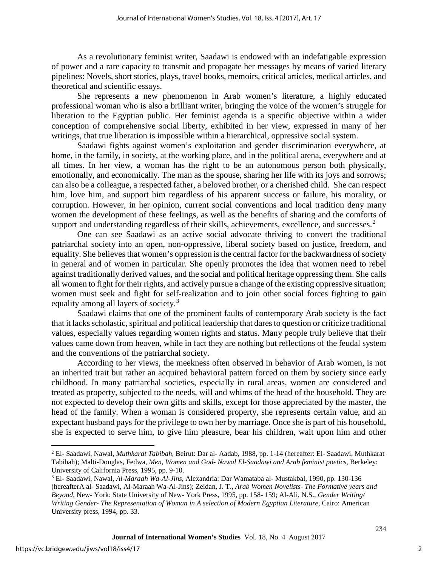As a revolutionary feminist writer, Saadawi is endowed with an indefatigable expression of power and a rare capacity to transmit and propagate her messages by means of varied literary pipelines: Novels, short stories, plays, travel books, memoirs, critical articles, medical articles, and theoretical and scientific essays.

She represents a new phenomenon in Arab women's literature, a highly educated professional woman who is also a brilliant writer, bringing the voice of the women's struggle for liberation to the Egyptian public. Her feminist agenda is a specific objective within a wider conception of comprehensive social liberty, exhibited in her view, expressed in many of her writings, that true liberation is impossible within a hierarchical, oppressive social system.

Saadawi fights against women's exploitation and gender discrimination everywhere, at home, in the family, in society, at the working place, and in the political arena, everywhere and at all times. In her view, a woman has the right to be an autonomous person both physically, emotionally, and economically. The man as the spouse, sharing her life with its joys and sorrows; can also be a colleague, a respected father, a beloved brother, or a cherished child. She can respect him, love him, and support him regardless of his apparent success or failure, his morality, or corruption. However, in her opinion, current social conventions and local tradition deny many women the development of these feelings, as well as the benefits of sharing and the comforts of support and understanding regardless of their skills, achievements, excellence, and successes. $2$ 

One can see Saadawi as an active social advocate thriving to convert the traditional patriarchal society into an open, non-oppressive, liberal society based on justice, freedom, and equality. She believes that women's oppression is the central factor for the backwardness of society in general and of women in particular. She openly promotes the idea that women need to rebel against traditionally derived values, and the social and political heritage oppressing them. She calls all women to fight for their rights, and actively pursue a change of the existing oppressive situation; women must seek and fight for self-realization and to join other social forces fighting to gain equality among all layers of society.[3](#page-2-1)

Saadawi claims that one of the prominent faults of contemporary Arab society is the fact that it lacks scholastic, spiritual and political leadership that dares to question or criticize traditional values, especially values regarding women rights and status. Many people truly believe that their values came down from heaven, while in fact they are nothing but reflections of the feudal system and the conventions of the patriarchal society.

According to her views, the meekness often observed in behavior of Arab women, is not an inherited trait but rather an acquired behavioral pattern forced on them by society since early childhood. In many patriarchal societies, especially in rural areas, women are considered and treated as property, subjected to the needs, will and whims of the head of the household. They are not expected to develop their own gifts and skills, except for those appreciated by the master, the head of the family. When a woman is considered property, she represents certain value, and an expectant husband pays for the privilege to own her by marriage. Once she is part of his household, she is expected to serve him, to give him pleasure, bear his children, wait upon him and other

l

<span id="page-2-0"></span><sup>2</sup> El- Saadawi, Nawal, *Muthkarat Tabibah,* Beirut: Dar al- Aadab, 1988, pp. 1-14 (hereafter: El- Saadawi, Muthkarat Tabibah); Malti-Douglas, Fedwa, *Men, Women and God- Nawal El-Saadawi and Arab feminist poetics*, Berkeley: University of California Press, 1995, pp. 9-10.

<span id="page-2-1"></span><sup>3</sup> El- Saadawi, Nawal, *Al-Maraah Wa-Al-Jins*, Alexandria: Dar Wamataba al- Mustakbal, 1990, pp. 130-136 (hereafterA al- Saadawi, Al-Maraah Wa-Al-Jins); Zeidan, J. T., *Arab Women Novelists- The Formative years and Beyond*, New- York: State University of New- York Press, 1995, pp. 158- 159; Al-Ali, N.S., *Gender Writing/ Writing Gender- The Representation of Woman in A selection of Modern Egyptian Literature*, Cairo: American University press, 1994, pp. 33.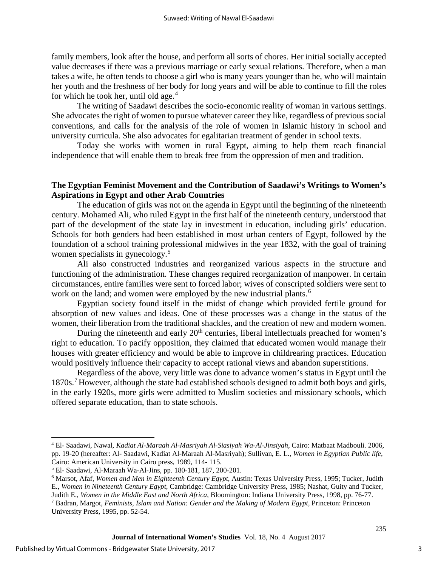family members, look after the house, and perform all sorts of chores. Her initial socially accepted value decreases if there was a previous marriage or early sexual relations. Therefore, when a man takes a wife, he often tends to choose a girl who is many years younger than he, who will maintain her youth and the freshness of her body for long years and will be able to continue to fill the roles for which he took her, until old age. $4$ 

The writing of Saadawi describes the socio-economic reality of woman in various settings. She advocates the right of women to pursue whatever career they like, regardless of previous social conventions, and calls for the analysis of the role of women in Islamic history in school and university curricula. She also advocates for egalitarian treatment of gender in school texts.

Today she works with women in rural Egypt, aiming to help them reach financial independence that will enable them to break free from the oppression of men and tradition.

# **The Egyptian Feminist Movement and the Contribution of Saadawi's Writings to Women's Aspirations in Egypt and other Arab Countries**

The education of girls was not on the agenda in Egypt until the beginning of the nineteenth century. Mohamed Ali, who ruled Egypt in the first half of the nineteenth century, understood that part of the development of the state lay in investment in education, including girls' education. Schools for both genders had been established in most urban centers of Egypt, followed by the foundation of a school training professional midwives in the year 1832, with the goal of training women specialists in gynecology.<sup>[5](#page-3-1)</sup>

Ali also constructed industries and reorganized various aspects in the structure and functioning of the administration. These changes required reorganization of manpower. In certain circumstances, entire families were sent to forced labor; wives of conscripted soldiers were sent to work on the land; and women were employed by the new industrial plants.<sup>[6](#page-3-2)</sup>

Egyptian society found itself in the midst of change which provided fertile ground for absorption of new values and ideas. One of these processes was a change in the status of the women, their liberation from the traditional shackles, and the creation of new and modern women.

During the nineteenth and early  $20<sup>th</sup>$  centuries, liberal intellectuals preached for women's right to education. To pacify opposition, they claimed that educated women would manage their houses with greater efficiency and would be able to improve in childrearing practices. Education would positively influence their capacity to accept rational views and abandon superstitions.

Regardless of the above, very little was done to advance women's status in Egypt until the 18[7](#page-3-3)0s.<sup>7</sup> However, although the state had established schools designed to admit both boys and girls, in the early 1920s, more girls were admitted to Muslim societies and missionary schools, which offered separate education, than to state schools.

l

<span id="page-3-0"></span><sup>4</sup> El- Saadawi, Nawal, *Kadiat Al-Maraah Al-Masriyah Al-Siasiyah Wa-Al-Jinsiyah*, Cairo: Matbaat Madbouli. 2006, pp. 19-20 (hereafter: Al- Saadawi, Kadiat Al-Maraah Al-Masriyah); Sullivan, E. L*., Women in Egyptian Public life*, Cairo: American University in Cairo press, 1989, 114- 115.

<span id="page-3-1"></span><sup>5</sup> El- Saadawi, Al-Maraah Wa-Al-Jins, pp. 180-181, 187, 200-201.

<span id="page-3-2"></span><sup>6</sup> Marsot, Afaf, *Women and Men in Eighteenth Century Egypt*, Austin: Texas University Press, 1995; Tucker, Judith E., *Women in Nineteenth Century Egypt*, Cambridge: Cambridge University Press, 1985; Nashat, Guity and Tucker, Judith E., *Women in the Middle East and North Africa*, Bloomington: Indiana University Press, 1998, pp. 76-77. <sup>7</sup> Badran, Margot, *Feminists, Islam and Nation: Gender and the Making of Modern Egypt,* Princeton: Princeton

<span id="page-3-3"></span>University Press, 1995, pp. 52-54.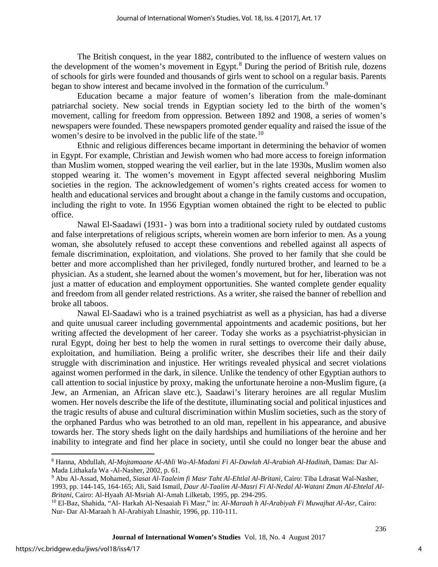The British conquest, in the year 1882, contributed to the influence of western values on the development of the women's movement in Egypt. $8$  During the period of British rule, dozens of schools for girls were founded and thousands of girls went to school on a regular basis. Parents began to show interest and became involved in the formation of the curriculum.<sup>[9](#page-4-1)</sup>

Education became a major feature of women's liberation from the male-dominant patriarchal society. New social trends in Egyptian society led to the birth of the women's movement, calling for freedom from oppression. Between 1892 and 1908, a series of women's newspapers were founded. These newspapers promoted gender equality and raised the issue of the women's desire to be involved in the public life of the state.<sup>[10](#page-4-2)</sup>

Ethnic and religious differences became important in determining the behavior of women in Egypt. For example, Christian and Jewish women who had more access to foreign information than Muslim women, stopped wearing the veil earlier, but in the late 1930s, Muslim women also stopped wearing it. The women's movement in Egypt affected several neighboring Muslim societies in the region. The acknowledgement of women's rights created access for women to health and educational services and brought about a change in the family customs and occupation, including the right to vote. In 1956 Egyptian women obtained the right to be elected to public office.

Nawal El-Saadawi (1931- ) was born into a traditional society ruled by outdated customs and false interpretations of religious scripts, wherein women are born inferior to men. As a young woman, she absolutely refused to accept these conventions and rebelled against all aspects of female discrimination, exploitation, and violations. She proved to her family that she could be better and more accomplished than her privileged, fondly nurtured brother, and learned to be a physician. As a student, she learned about the women's movement, but for her, liberation was not just a matter of education and employment opportunities. She wanted complete gender equality and freedom from all gender related restrictions. As a writer, she raised the banner of rebellion and broke all taboos.

Nawal El-Saadawi who is a trained psychiatrist as well as a physician, has had a diverse and quite unusual career including governmental appointments and academic positions, but her writing affected the development of her career. Today she works as a psychiatrist-physician in rural Egypt, doing her best to help the women in rural settings to overcome their daily abuse, exploitation, and humiliation. Being a prolific writer, she describes their life and their daily struggle with discrimination and injustice. Her writings revealed physical and secret violations against women performed in the dark, in silence. Unlike the tendency of other Egyptian authors to call attention to social injustice by proxy, making the unfortunate heroine a non-Muslim figure, (a Jew, an Armenian, an African slave etc.), Saadawi's literary heroines are all regular Muslim women. Her novels describe the life of the destitute, illuminating social and political injustices and the tragic results of abuse and cultural discrimination within Muslim societies, such as the story of the orphaned Pardus who was betrothed to an old man, repellent in his appearance, and abusive towards her. The story sheds light on the daily hardships and humiliations of the heroine and her inability to integrate and find her place in society, until she could no longer bear the abuse and

l

<span id="page-4-0"></span><sup>8</sup> Hanna, Abdullah, *Al-Mojtamaane Al-Ahli Wa-Al-Madani Fi Al-Dawlah Al-Arabiah Al-Haditah*, Damas: Dar Al-Mada Lithakafa Wa -Al-Nasher, 2002, p. 61.

<span id="page-4-1"></span><sup>9</sup> Abu Al-Assad, Mohamed, *Siasat Al-Taaleim fi Masr Taht Al-Ehtlal Al-Britani,* Cairo: Tiba Ldrasat Wal-Nasher,

<sup>1993,</sup> pp. 144-145, 164-165; Ali, Said Ismail, *Daur Al-Taalim Al-Masri Fi Al-Nedal Al-Watani Zman Al-Ehtelal Al-Britani,* Cairo: Al-Hyaah Al-Msriah Al-Amah Lilketab, 1995, pp. 294-295.

<span id="page-4-2"></span><sup>10</sup> El-Baz, Shahida, "Al- Harkah Al-Nesaaiah Fi Masr," in: *Al-Maraah h Al-Arabiyah Fi Muwajhat Al-Asr*, Cairo: Nur- Dar Al-Maraah h Al-Arabiyah Llnashir, 1996, pp. 110-111.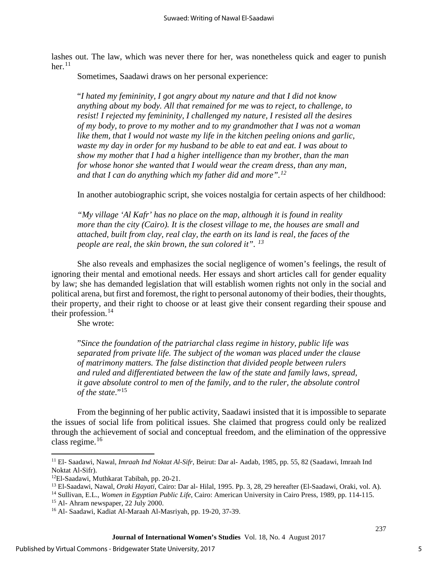lashes out. The law, which was never there for her, was nonetheless quick and eager to punish her. $^{11}$  $^{11}$  $^{11}$ 

Sometimes, Saadawi draws on her personal experience:

"*I hated my femininity, I got angry about my nature and that I did not know anything about my body. All that remained for me was to reject, to challenge, to resist! I rejected my femininity, I challenged my nature, I resisted all the desires of my body, to prove to my mother and to my grandmother that I was not a woman like them, that I would not waste my life in the kitchen peeling onions and garlic, waste my day in order for my husband to be able to eat and eat. I was about to show my mother that I had a higher intelligence than my brother, than the man for whose honor she wanted that I would wear the cream dress, than any man, and that I can do anything which my father did and more".[12](#page-5-1)*

In another autobiographic script, she voices nostalgia for certain aspects of her childhood:

*"My village 'Al Kafr' has no place on the map, although it is found in reality more than the city (Cairo). It is the closest village to me, the houses are small and attached, built from clay, real clay, the earth on its land is real, the faces of the people are real, the skin brown, the sun colored it". [13](#page-5-2)*

She also reveals and emphasizes the social negligence of women's feelings, the result of ignoring their mental and emotional needs. Her essays and short articles call for gender equality by law; she has demanded legislation that will establish women rights not only in the social and political arena, but first and foremost, the right to personal autonomy of their bodies, their thoughts, their property, and their right to choose or at least give their consent regarding their spouse and their profession. $14$ 

She wrote:

"*Since the foundation of the patriarchal class regime in history, public life was separated from private life. The subject of the woman was placed under the clause of matrimony matters. The false distinction that divided people between rulers and ruled and differentiated between the law of the state and family laws, spread, it gave absolute control to men of the family, and to the ruler, the absolute control of the state.*"<sup>[15](#page-5-4)</sup>

From the beginning of her public activity, Saadawi insisted that it is impossible to separate the issues of social life from political issues. She claimed that progress could only be realized through the achievement of social and conceptual freedom, and the elimination of the oppressive class regime.[16](#page-5-5)

<span id="page-5-5"></span><span id="page-5-4"></span><span id="page-5-3"></span><span id="page-5-2"></span><span id="page-5-1"></span><sup>14</sup> Sullivan, E.L., *Women in Egyptian Public Life*, Cairo: American University in Cairo Press, 1989, pp. 114-115.

<sup>15</sup> Al- Ahram newspaper, 22 July 2000.

l

<span id="page-5-0"></span><sup>11</sup> El- Saadawi, Nawal, *Imraah Ind Noktat Al-Sifr*, Beirut: Dar al- Aadab, 1985, pp. 55, 82 (Saadawi, Imraah Ind Noktat Al-Sifr).

<sup>12</sup>El-Saadawi, Muthkarat Tabibah, pp. 20-21.

<sup>13</sup> El-Saadawi, Nawal, *Oraki Hayati*, Cairo: Dar al- Hilal, 1995. Pp. 3, 28, 29 hereafter (El-Saadawi, Oraki, vol. A).

<sup>16</sup> Al- Saadawi, Kadiat Al-Maraah Al-Masriyah, pp. 19-20, 37-39.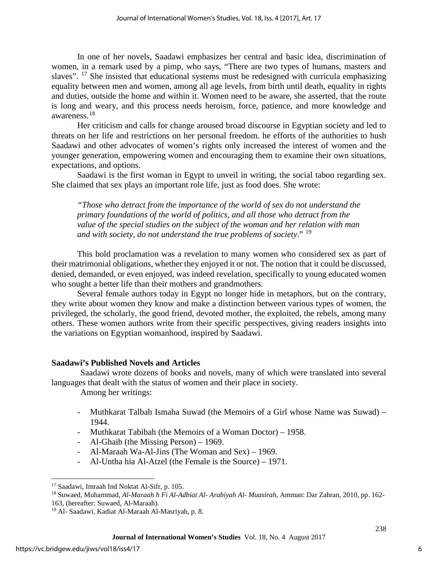In one of her novels, Saadawi emphasizes her central and basic idea, discrimination of women, in a remark used by a pimp, who says, "There are two types of humans, masters and slaves".  $^{17}$  $^{17}$  $^{17}$  She insisted that educational systems must be redesigned with curricula emphasizing equality between men and women, among all age levels, from birth until death, equality in rights and duties, outside the home and within it. Women need to be aware, she asserted, that the route is long and weary, and this process needs heroism, force, patience, and more knowledge and awareness.[18](#page-6-1)

Her criticism and calls for change aroused broad discourse in Egyptian society and led to threats on her life and restrictions on her personal freedom. he efforts of the authorities to hush Saadawi and other advocates of women's rights only increased the interest of women and the younger generation, empowering women and encouraging them to examine their own situations, expectations, and options.

Saadawi is the first woman in Egypt to unveil in writing, the social taboo regarding sex. She claimed that sex plays an important role life, just as food does. She wrote:

*"Those who detract from the importance of the world of sex do not understand the primary foundations of the world of politics, and all those who detract from the value of the special studies on the subject of the woman and her relation with man and with society, do not understand the true problems of society*." [19](#page-6-2)

This bold proclamation was a revelation to many women who considered sex as part of their matrimonial obligations, whether they enjoyed it or not. The notion that it could be discussed, denied, demanded, or even enjoyed, was indeed revelation, specifically to young educated women who sought a better life than their mothers and grandmothers.

Several female authors today in Egypt no longer hide in metaphors, but on the contrary, they write about women they know and make a distinction between various types of women, the privileged, the scholarly, the good friend, devoted mother, the exploited, the rebels, among many others. These women authors write from their specific perspectives, giving readers insights into the variations on Egyptian womanhood, inspired by Saadawi.

# **Saadawi's Published Novels and Articles**

Saadawi wrote dozens of books and novels, many of which were translated into several languages that dealt with the status of women and their place in society.

Among her writings:

- Muthkarat Talbah Ismaha Suwad (the Memoirs of a Girl whose Name was Suwad) 1944.
- Muthkarat Tabibah (the Memoirs of a Woman Doctor) 1958.
- Al-Ghaib (the Missing Person) 1969.
- Al-Maraah Wa-Al-Jins (The Woman and Sex) 1969.
- Al-Untha hia Al-Atzel (the Female is the Source) 1971.

l <sup>17</sup> Saadawi, Imraah Ind Noktat Al-Sifr, p. 105.

<span id="page-6-1"></span><span id="page-6-0"></span><sup>18</sup> Suwaed, Muhammad, *Al-Maraah h Fi Al-Adbiat Al- Arabiyah Al- Muasirah*, Amman: Dar Zahran, 2010, pp. 162- 163, (hereafter: Suwaed, Al-Maraah).

<span id="page-6-2"></span><sup>19</sup> Al- Saadawi, Kadiat Al-Maraah Al-Masriyah, p. 8.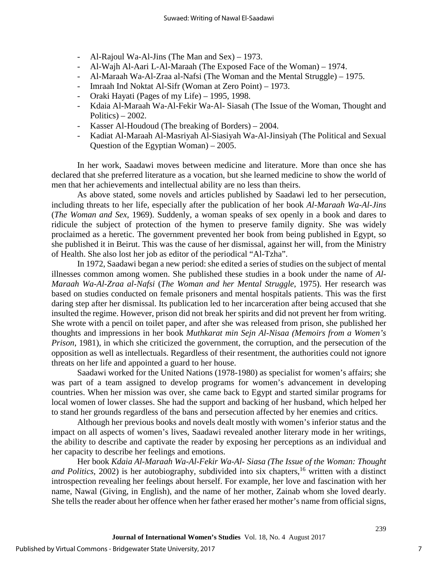- Al-Rajoul Wa-Al-Jins (The Man and Sex) 1973.
- Al-Wajh Al-Aari L-Al-Maraah (The Exposed Face of the Woman) 1974.
- Al-Maraah Wa-Al-Zraa al-Nafsi (The Woman and the Mental Struggle) 1975.
- Imraah Ind Noktat Al-Sifr (Woman at Zero Point) 1973.
- Oraki Hayati (Pages of my Life) 1995, 1998.
- Kdaia Al-Maraah Wa-Al-Fekir Wa-Al- Siasah (The Issue of the Woman, Thought and Politics) –  $2002$ .
- Kasser Al-Houdoud (The breaking of Borders) 2004.
- Kadiat Al-Maraah Al-Masriyah Al-Siasiyah Wa-Al-Jinsiyah (The Political and Sexual Question of the Egyptian Woman) – 2005.

In her work, Saadawi moves between medicine and literature. More than once she has declared that she preferred literature as a vocation, but she learned medicine to show the world of men that her achievements and intellectual ability are no less than theirs.

As above stated, some novels and articles published by Saadawi led to her persecution, including threats to her life, especially after the publication of her book *Al-Maraah Wa-Al-Jins* (*The Woman and Sex*, 1969). Suddenly, a woman speaks of sex openly in a book and dares to ridicule the subject of protection of the hymen to preserve family dignity. She was widely proclaimed as a heretic. The government prevented her book from being published in Egypt, so she published it in Beirut. This was the cause of her dismissal, against her will, from the Ministry of Health. She also lost her job as editor of the periodical "Al-Tzha".

In 1972, Saadawi began a new period: she edited a series of studies on the subject of mental illnesses common among women. She published these studies in a book under the name of *Al-Maraah Wa-Al-Zraa al-Nafsi* (*The Woman and her Mental Struggle*, 1975). Her research was based on studies conducted on female prisoners and mental hospitals patients. This was the first daring step after her dismissal. Its publication led to her incarceration after being accused that she insulted the regime. However, prison did not break her spirits and did not prevent her from writing. She wrote with a pencil on toilet paper, and after she was released from prison, she published her thoughts and impressions in her book *Muthkarat min Sejn Al-Nisaa (Memoirs from a Women's Prison*, 1981), in which she criticized the government, the corruption, and the persecution of the opposition as well as intellectuals. Regardless of their resentment, the authorities could not ignore threats on her life and appointed a guard to her house.

Saadawi worked for the United Nations (1978-1980) as specialist for women's affairs; she was part of a team assigned to develop programs for women's advancement in developing countries. When her mission was over, she came back to Egypt and started similar programs for local women of lower classes. She had the support and backing of her husband, which helped her to stand her grounds regardless of the bans and persecution affected by her enemies and critics.

Although her previous books and novels dealt mostly with women's inferior status and the impact on all aspects of women's lives, Saadawi revealed another literary mode in her writings, the ability to describe and captivate the reader by exposing her perceptions as an individual and her capacity to describe her feelings and emotions.

Her book *Kdaia Al-Maraah Wa-Al-Fekir Wa-Al- Siasa (The Issue of the Woman: Thought*  and Politics, 2002) is her autobiography, subdivided into six chapters,<sup>16</sup> written with a distinct introspection revealing her feelings about herself. For example, her love and fascination with her name, Nawal (Giving, in English), and the name of her mother, Zainab whom she loved dearly. She tells the reader about her offence when her father erased her mother's name from official signs,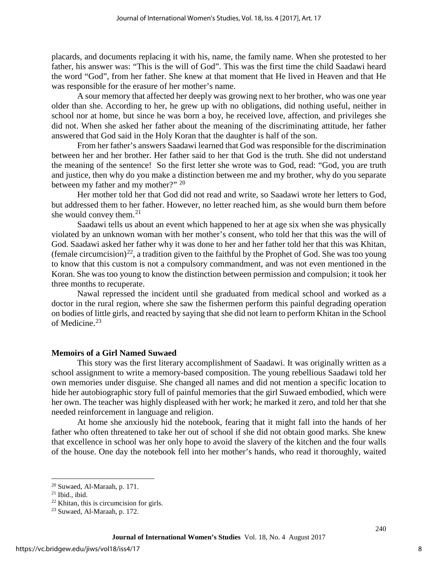placards, and documents replacing it with his, name, the family name. When she protested to her father, his answer was: "This is the will of God". This was the first time the child Saadawi heard the word "God", from her father. She knew at that moment that He lived in Heaven and that He was responsible for the erasure of her mother's name.

A sour memory that affected her deeply was growing next to her brother, who was one year older than she. According to her, he grew up with no obligations, did nothing useful, neither in school nor at home, but since he was born a boy, he received love, affection, and privileges she did not. When she asked her father about the meaning of the discriminating attitude, her father answered that God said in the Holy Koran that the daughter is half of the son.

From her father's answers Saadawi learned that God was responsible for the discrimination between her and her brother. Her father said to her that God is the truth. She did not understand the meaning of the sentence! So the first letter she wrote was to God, read: "God, you are truth and justice, then why do you make a distinction between me and my brother, why do you separate between my father and my mother?" <sup>[20](#page-8-0)</sup>

Her mother told her that God did not read and write, so Saadawi wrote her letters to God, but addressed them to her father. However, no letter reached him, as she would burn them before she would convey them. $2<sup>1</sup>$ 

Saadawi tells us about an event which happened to her at age six when she was physically violated by an unknown woman with her mother's consent, who told her that this was the will of God. Saadawi asked her father why it was done to her and her father told her that this was Khitan, (female circumcision)<sup>22</sup>, a tradition given to the faithful by the Prophet of God. She was too young to know that this custom is not a compulsory commandment, and was not even mentioned in the Koran. She was too young to know the distinction between permission and compulsion; it took her three months to recuperate.

Nawal repressed the incident until she graduated from medical school and worked as a doctor in the rural region, where she saw the fishermen perform this painful degrading operation on bodies of little girls, and reacted by saying that she did not learn to perform Khitan in the School of Medicine.[23](#page-8-3)

# **Memoirs of a Girl Named Suwaed**

This story was the first literary accomplishment of Saadawi. It was originally written as a school assignment to write a memory-based composition. The young rebellious Saadawi told her own memories under disguise. She changed all names and did not mention a specific location to hide her autobiographic story full of painful memories that the girl Suwaed embodied, which were her own. The teacher was highly displeased with her work; he marked it zero, and told her that she needed reinforcement in language and religion.

At home she anxiously hid the notebook, fearing that it might fall into the hands of her father who often threatened to take her out of school if she did not obtain good marks. She knew that excellence in school was her only hope to avoid the slavery of the kitchen and the four walls of the house. One day the notebook fell into her mother's hands, who read it thoroughly, waited

l

<span id="page-8-0"></span><sup>20</sup> Suwaed, Al-Maraah, p. 171.

<span id="page-8-1"></span><sup>21</sup> Ibid., ibid.

<span id="page-8-2"></span> $22$  Khitan, this is circumcision for girls.

<span id="page-8-3"></span><sup>23</sup> Suwaed, Al-Maraah, p. 172.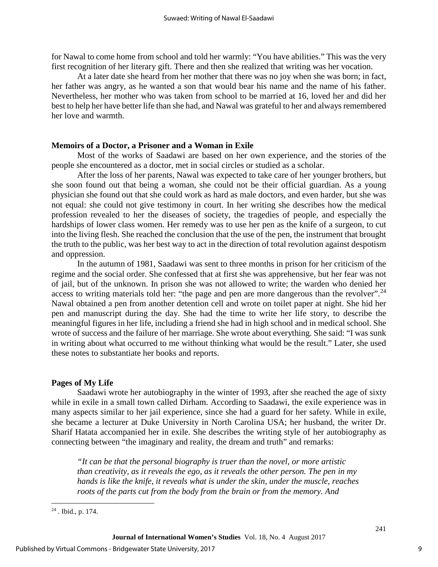for Nawal to come home from school and told her warmly: "You have abilities." This was the very first recognition of her literary gift. There and then she realized that writing was her vocation.

At a later date she heard from her mother that there was no joy when she was born; in fact, her father was angry, as he wanted a son that would bear his name and the name of his father. Nevertheless, her mother who was taken from school to be married at 16, loved her and did her best to help her have better life than she had, and Nawal was grateful to her and always remembered her love and warmth.

### **Memoirs of a Doctor, a Prisoner and a Woman in Exile**

Most of the works of Saadawi are based on her own experience, and the stories of the people she encountered as a doctor, met in social circles or studied as a scholar.

After the loss of her parents, Nawal was expected to take care of her younger brothers, but she soon found out that being a woman, she could not be their official guardian. As a young physician she found out that she could work as hard as male doctors, and even harder, but she was not equal: she could not give testimony in court. In her writing she describes how the medical profession revealed to her the diseases of society, the tragedies of people, and especially the hardships of lower class women. Her remedy was to use her pen as the knife of a surgeon, to cut into the living flesh. She reached the conclusion that the use of the pen, the instrument that brought the truth to the public, was her best way to act in the direction of total revolution against despotism and oppression.

In the autumn of 1981, Saadawi was sent to three months in prison for her criticism of the regime and the social order. She confessed that at first she was apprehensive, but her fear was not of jail, but of the unknown. In prison she was not allowed to write; the warden who denied her access to writing materials told her: "the page and pen are more dangerous than the revolver".<sup>[24](#page-9-0)</sup> Nawal obtained a pen from another detention cell and wrote on toilet paper at night. She hid her pen and manuscript during the day. She had the time to write her life story, to describe the meaningful figures in her life, including a friend she had in high school and in medical school. She wrote of success and the failure of her marriage. She wrote about everything. She said: "I was sunk in writing about what occurred to me without thinking what would be the result." Later, she used these notes to substantiate her books and reports.

# **Pages of My Life**

Saadawi wrote her autobiography in the winter of 1993, after she reached the age of sixty while in exile in a small town called Dirham. According to Saadawi, the exile experience was in many aspects similar to her jail experience, since she had a guard for her safety. While in exile, she became a lecturer at Duke University in North Carolina USA; her husband, the writer Dr. Sharif Hatata accompanied her in exile. She describes the writing style of her autobiography as connecting between "the imaginary and reality, the dream and truth" and remarks:

*"It can be that the personal biography is truer than the novel, or more artistic than creativity, as it reveals the ego, as it reveals the other person. The pen in my hands is like the knife, it reveals what is under the skin, under the muscle, reaches roots of the parts cut from the body from the brain or from the memory. And* 

l

<span id="page-9-0"></span><sup>24</sup> . Ibid., p. 174.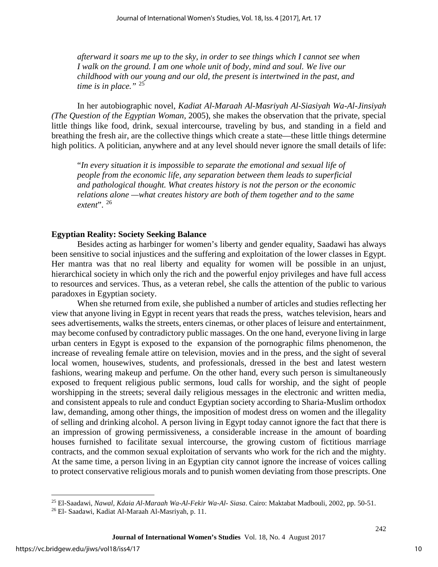*afterward it soars me up to the sky, in order to see things which I cannot see when I walk on the ground. I am one whole unit of body, mind and soul. We live our childhood with our young and our old, the present is intertwined in the past, and time is in place."* [25](#page-10-0)

In her autobiographic novel, *Kadiat Al-Maraah Al-Masriyah Al-Siasiyah Wa-Al-Jinsiyah (The Question of the Egyptian Woman,* 2005), she makes the observation that the private, special little things like food, drink, sexual intercourse, traveling by bus, and standing in a field and breathing the fresh air, are the collective things which create a state—these little things determine high politics. A politician, anywhere and at any level should never ignore the small details of life:

"*In every situation it is impossible to separate the emotional and sexual life of people from the economic life, any separation between them leads to superficial and pathological thought. What creates history is not the person or the economic relations alone —what creates history are both of them together and to the same extent*". [26](#page-10-1)

#### **Egyptian Reality: Society Seeking Balance**

Besides acting as harbinger for women's liberty and gender equality, Saadawi has always been sensitive to social injustices and the suffering and exploitation of the lower classes in Egypt. Her mantra was that no real liberty and equality for women will be possible in an unjust, hierarchical society in which only the rich and the powerful enjoy privileges and have full access to resources and services. Thus, as a veteran rebel, she calls the attention of the public to various paradoxes in Egyptian society.

When she returned from exile, she published a number of articles and studies reflecting her view that anyone living in Egypt in recent years that reads the press, watches television, hears and sees advertisements, walks the streets, enters cinemas, or other places of leisure and entertainment, may become confused by contradictory public massages. On the one hand, everyone living in large urban centers in Egypt is exposed to the expansion of the pornographic films phenomenon, the increase of revealing female attire on television, movies and in the press, and the sight of several local women, housewives, students, and professionals, dressed in the best and latest western fashions, wearing makeup and perfume. On the other hand, every such person is simultaneously exposed to frequent religious public sermons, loud calls for worship, and the sight of people worshipping in the streets; several daily religious messages in the electronic and written media, and consistent appeals to rule and conduct Egyptian society according to Sharia-Muslim orthodox law, demanding, among other things, the imposition of modest dress on women and the illegality of selling and drinking alcohol. A person living in Egypt today cannot ignore the fact that there is an impression of growing permissiveness, a considerable increase in the amount of boarding houses furnished to facilitate sexual intercourse, the growing custom of fictitious marriage contracts, and the common sexual exploitation of servants who work for the rich and the mighty. At the same time, a person living in an Egyptian city cannot ignore the increase of voices calling to protect conservative religious morals and to punish women deviating from those prescripts. One

l

<span id="page-10-0"></span><sup>25</sup> El-Saadawi, *Nawal, Kdaia Al-Maraah Wa-Al-Fekir Wa-Al- Siasa*. Cairo: Maktabat Madbouli, 2002, pp. 50-51.

<span id="page-10-1"></span><sup>26</sup> El- Saadawi, Kadiat Al-Maraah Al-Masriyah, p. 11.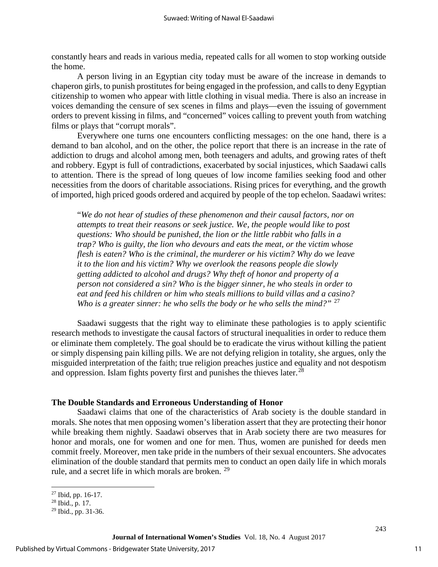constantly hears and reads in various media, repeated calls for all women to stop working outside the home.

A person living in an Egyptian city today must be aware of the increase in demands to chaperon girls, to punish prostitutes for being engaged in the profession, and calls to deny Egyptian citizenship to women who appear with little clothing in visual media. There is also an increase in voices demanding the censure of sex scenes in films and plays—even the issuing of government orders to prevent kissing in films, and "concerned" voices calling to prevent youth from watching films or plays that "corrupt morals".

Everywhere one turns one encounters conflicting messages: on the one hand, there is a demand to ban alcohol, and on the other, the police report that there is an increase in the rate of addiction to drugs and alcohol among men, both teenagers and adults, and growing rates of theft and robbery. Egypt is full of contradictions, exacerbated by social injustices, which Saadawi calls to attention. There is the spread of long queues of low income families seeking food and other necessities from the doors of charitable associations. Rising prices for everything, and the growth of imported, high priced goods ordered and acquired by people of the top echelon. Saadawi writes:

"*We do not hear of studies of these phenomenon and their causal factors, nor on attempts to treat their reasons or seek justice. We, the people would like to post questions: Who should be punished, the lion or the little rabbit who falls in a trap? Who is guilty, the lion who devours and eats the meat, or the victim whose flesh is eaten? Who is the criminal, the murderer or his victim? Why do we leave it to the lion and his victim? Why we overlook the reasons people die slowly getting addicted to alcohol and drugs? Why theft of honor and property of a person not considered a sin? Who is the bigger sinner, he who steals in order to eat and feed his children or him who steals millions to build villas and a casino? Who is a greater sinner: he who sells the body or he who sells the mind?"* [27](#page-11-0)

Saadawi suggests that the right way to eliminate these pathologies is to apply scientific research methods to investigate the causal factors of structural inequalities in order to reduce them or eliminate them completely. The goal should be to eradicate the virus without killing the patient or simply dispensing pain killing pills. We are not defying religion in totality, she argues, only the misguided interpretation of the faith; true religion preaches justice and equality and not despotism and oppression. Islam fights poverty first and punishes the thieves later.<sup>[28](#page-11-1)</sup>

#### **The Double Standards and Erroneous Understanding of Honor**

Saadawi claims that one of the characteristics of Arab society is the double standard in morals. She notes that men opposing women's liberation assert that they are protecting their honor while breaking them nightly. Saadawi observes that in Arab society there are two measures for honor and morals, one for women and one for men. Thus, women are punished for deeds men commit freely. Moreover, men take pride in the numbers of their sexual encounters. She advocates elimination of the double standard that permits men to conduct an open daily life in which morals rule, and a secret life in which morals are broken. [29](#page-11-2)

l

<span id="page-11-0"></span><sup>&</sup>lt;sup>27</sup> Ibid, pp. 16-17.

 $28$  Ibid., p. 17.

<span id="page-11-2"></span><span id="page-11-1"></span><sup>29</sup> Ibid., pp. 31-36.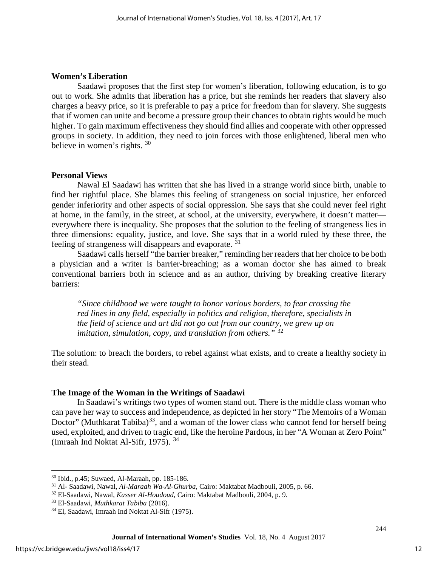### **Women's Liberation**

Saadawi proposes that the first step for women's liberation, following education, is to go out to work. She admits that liberation has a price, but she reminds her readers that slavery also charges a heavy price, so it is preferable to pay a price for freedom than for slavery. She suggests that if women can unite and become a pressure group their chances to obtain rights would be much higher. To gain maximum effectiveness they should find allies and cooperate with other oppressed groups in society. In addition, they need to join forces with those enlightened, liberal men who believe in women's rights. [30](#page-12-0)

#### **Personal Views**

Nawal El Saadawi has written that she has lived in a strange world since birth, unable to find her rightful place. She blames this feeling of strangeness on social injustice, her enforced gender inferiority and other aspects of social oppression. She says that she could never feel right at home, in the family, in the street, at school, at the university, everywhere, it doesn't matter everywhere there is inequality. She proposes that the solution to the feeling of strangeness lies in three dimensions: equality, justice, and love. She says that in a world ruled by these three, the feeling of strangeness will disappears and evaporate. [31](#page-12-1)

Saadawi calls herself "the barrier breaker," reminding her readers that her choice to be both a physician and a writer is barrier-breaching; as a woman doctor she has aimed to break conventional barriers both in science and as an author, thriving by breaking creative literary barriers:

*"Since childhood we were taught to honor various borders, to fear crossing the red lines in any field, especially in politics and religion, therefore, specialists in the field of science and art did not go out from our country, we grew up on imitation, simulation, copy, and translation from others."* [32](#page-12-2)

The solution: to breach the borders, to rebel against what exists, and to create a healthy society in their stead.

### **The Image of the Woman in the Writings of Saadawi**

In Saadawi's writings two types of women stand out. There is the middle class woman who can pave her way to success and independence, as depicted in her story "The Memoirs of a Woman Doctor" (Muthkarat Tabiba)<sup>33</sup>, and a woman of the lower class who cannot fend for herself being used, exploited, and driven to tragic end, like the heroine Pardous, in her "A Woman at Zero Point" (Imraah Ind Noktat Al-Sifr, 1975). [34](#page-12-4)

 $\overline{\phantom{a}}$ 

<span id="page-12-0"></span><sup>30</sup> Ibid., p.45; Suwaed, Al-Maraah, pp. 185-186.

<span id="page-12-1"></span><sup>31</sup> Al- Saadawi, Nawal, *Al-Maraah Wa-Al-Ghurba*, Cairo: Maktabat Madbouli, 2005, p. 66.

<span id="page-12-2"></span><sup>32</sup> El-Saadawi, Nawal, *Kasser Al-Houdoud*, Cairo: Maktabat Madbouli, 2004, p. 9.

<span id="page-12-4"></span><span id="page-12-3"></span><sup>&</sup>lt;sup>34</sup> El, Saadawi, Imraah Ind Noktat Al-Sifr (1975).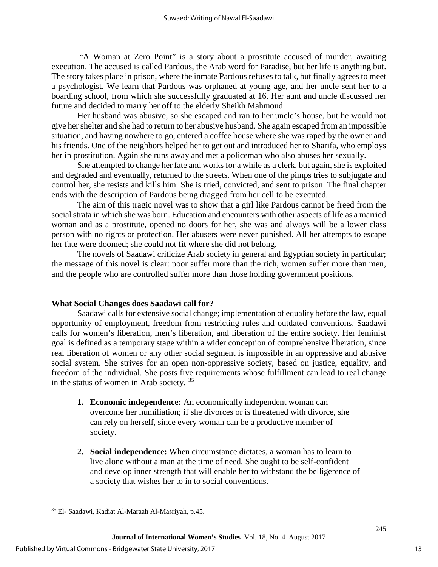"A Woman at Zero Point" is a story about a prostitute accused of murder, awaiting execution. The accused is called Pardous, the Arab word for Paradise, but her life is anything but. The story takes place in prison, where the inmate Pardous refuses to talk, but finally agrees to meet a psychologist. We learn that Pardous was orphaned at young age, and her uncle sent her to a boarding school, from which she successfully graduated at 16. Her aunt and uncle discussed her future and decided to marry her off to the elderly Sheikh Mahmoud.

Her husband was abusive, so she escaped and ran to her uncle's house, but he would not give her shelter and she had to return to her abusive husband. She again escaped from an impossible situation, and having nowhere to go, entered a coffee house where she was raped by the owner and his friends. One of the neighbors helped her to get out and introduced her to Sharifa, who employs her in prostitution. Again she runs away and met a policeman who also abuses her sexually.

She attempted to change her fate and works for a while as a clerk, but again, she is exploited and degraded and eventually, returned to the streets. When one of the pimps tries to subjugate and control her, she resists and kills him. She is tried, convicted, and sent to prison. The final chapter ends with the description of Pardous being dragged from her cell to be executed.

The aim of this tragic novel was to show that a girl like Pardous cannot be freed from the social strata in which she was born. Education and encounters with other aspects of life as a married woman and as a prostitute, opened no doors for her, she was and always will be a lower class person with no rights or protection. Her abusers were never punished. All her attempts to escape her fate were doomed; she could not fit where she did not belong.

The novels of Saadawi criticize Arab society in general and Egyptian society in particular; the message of this novel is clear: poor suffer more than the rich, women suffer more than men, and the people who are controlled suffer more than those holding government positions.

# **What Social Changes does Saadawi call for?**

Saadawi calls for extensive social change; implementation of equality before the law, equal opportunity of employment, freedom from restricting rules and outdated conventions. Saadawi calls for women's liberation, men's liberation, and liberation of the entire society. Her feminist goal is defined as a temporary stage within a wider conception of comprehensive liberation, since real liberation of women or any other social segment is impossible in an oppressive and abusive social system. She strives for an open non-oppressive society, based on justice, equality, and freedom of the individual. She posts five requirements whose fulfillment can lead to real change in the status of women in Arab society. [35](#page-13-0) 

- **1. Economic independence:** An economically independent woman can overcome her humiliation; if she divorces or is threatened with divorce, she can rely on herself, since every woman can be a productive member of society.
- **2. Social independence:** When circumstance dictates, a woman has to learn to live alone without a man at the time of need. She ought to be self-confident and develop inner strength that will enable her to withstand the belligerence of a society that wishes her to in to social conventions.

l

<span id="page-13-0"></span><sup>35</sup> El- Saadawi, Kadiat Al-Maraah Al-Masriyah, p.45.